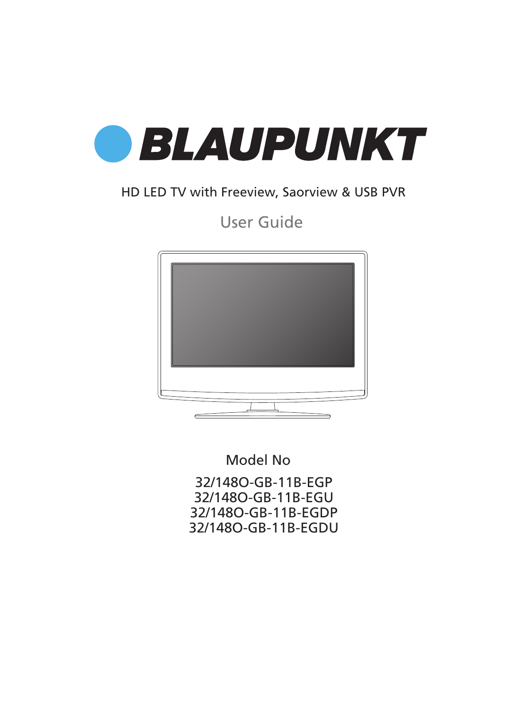

### HD LED TV with Freeview, Saorview & USB PVR

### User Guide



Model No

32/148O-GB-11B-EGP 32/148O-GB-11B-EGU 32/148O-GB-11B-EGDP 32/148O-GB-11B-EGDU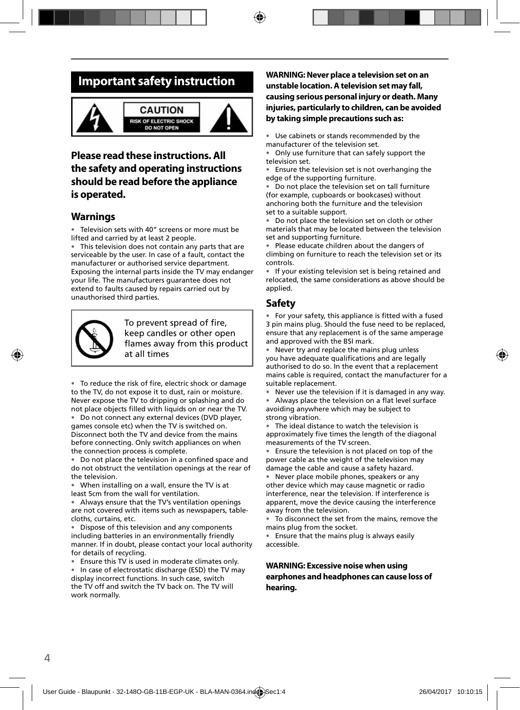### **Important safety instruction**



### **Please read these instructions. All the safety and operating instructions should be read before the appliance is operated.**

#### **Warnings**

Television sets with 40" screens or more must be lifted and carried by at least 2 people.

• This television does not contain any parts that are serviceable by the user. In case of a fault, contact the manufacturer or authorised service department. Exposing the internal parts inside the TV may endanger your life. The manufacturers guarantee does not extend to faults caused by repairs carried out by unauthorised third parties.



To prevent spread of fire. keep candles or other open flames away from this product at all times

• To reduce the risk of fire, electric shock or damage to the TV, do not expose it to dust, rain or moisture. Never expose the TV to dripping or splashing and do not place objects filled with liquids on or near the TV.

• Do not connect any external devices (DVD player, games console etc) when the TV is switched on. Disconnect both the TV and device from the mains before connecting. Only switch appliances on when the connection process is complete.

Do not place the television in a confined space and do not obstruct the ventilation openings at the rear of the television.

• When installing on a wall, ensure the TV is at least 5cm from the wall for ventilation.

• Always ensure that the TV's ventilation openings are not covered with items such as newspapers, tablecloths, curtains, etc.

• Dispose of this television and any components including batteries in an environmentally friendly manner. If in doubt, please contact your local authority for details of recycling.

• Ensure this TV is used in moderate climates only.

In case of electrostatic discharge (ESD) the TV may display incorrect functions. In such case, switch the TV off and switch the TV back on. The TV will work normally.

**WARNING: Never place a television set on an unstable location. A television set may fall, causing serious personal injury or death. Many injuries, particularly to children, can be avoided by taking simple precautions such as:**

• Use cabinets or stands recommended by the manufacturer of the television set.

• Only use furniture that can safely support the television set.

• Ensure the television set is not overhanging the edge of the supporting furniture.

Do not place the television set on tall furniture (for example, cupboards or bookcases) without anchoring both the furniture and the television set to a suitable support.

Do not place the television set on cloth or other materials that may be located between the television set and supporting furniture.

• Please educate children about the dangers of climbing on furniture to reach the television set or its controls.

• If your existing television set is being retained and relocated, the same considerations as above should be applied.

#### **Safety**

For your safety, this appliance is fitted with a fused 3 pin mains plug. Should the fuse need to be replaced, ensure that any replacement is of the same amperage and approved with the BSI mark.

• Never try and replace the mains plug unless you have adequate qualifications and are legally authorised to do so. In the event that a replacement mains cable is required, contact the manufacturer for a suitable replacement.

Never use the television if it is damaged in any way.

Always place the television on a flat level surface avoiding anywhere which may be subject to strong vibration.

• The ideal distance to watch the television is approximately five times the length of the diagonal measurements of the TV screen.

• Ensure the television is not placed on top of the power cable as the weight of the television may damage the cable and cause a safety hazard.

• Never place mobile phones, speakers or any other device which may cause magnetic or radio interference, near the television. If interference is apparent, move the device causing the interference away from the television.

• To disconnect the set from the mains, remove the mains plug from the socket.

• Ensure that the mains plug is always easily accessible.

#### **WARNING: Excessive noise when using earphones and headphones can cause loss of hearing.**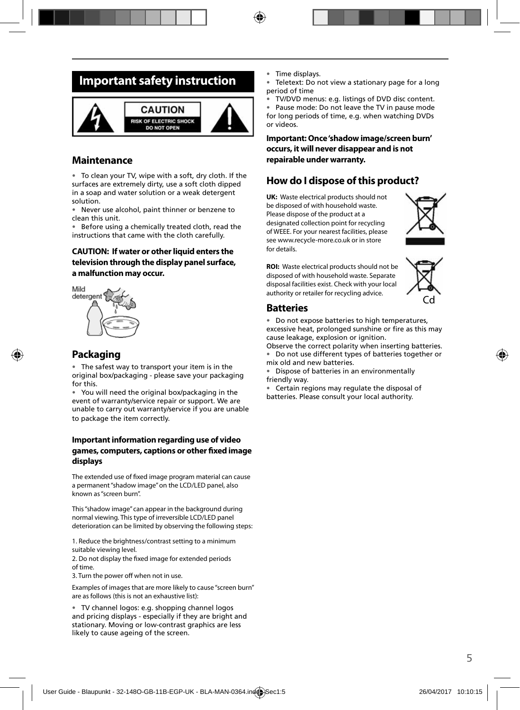### **Important safety instruction**



#### **Maintenance**

• To clean your TV, wipe with a soft, dry cloth. If the surfaces are extremely dirty, use a soft cloth dipped in a soap and water solution or a weak detergent solution.

• Never use alcohol, paint thinner or benzene to clean this unit.

• Before using a chemically treated cloth, read the instructions that came with the cloth carefully.

#### **CAUTION: If water or other liquid enters the television through the display panel surface, a malfunction may occur.**



#### **Packaging**

The safest way to transport your item is in the original box/packaging - please save your packaging for this.

• You will need the original box/packaging in the event of warranty/service repair or support. We are unable to carry out warranty/service if you are unable to package the item correctly.

#### **Important information regarding use of video**  games, computers, captions or other fixed image **displays**

The extended use of fixed image program material can cause a permanent "shadow image" on the LCD/LED panel, also known as "screen burn".

This "shadow image" can appear in the background during normal viewing. This type of irreversible LCD/LED panel deterioration can be limited by observing the following steps:

1. Reduce the brightness/contrast setting to a minimum suitable viewing level.

2. Do not display the fixed image for extended periods of time.

3. Turn the power off when not in use.

Examples of images that are more likely to cause "screen burn" are as follows (this is not an exhaustive list):

• TV channel logos: e.g. shopping channel logos and pricing displays - especially if they are bright and stationary. Moving or low-contrast graphics are less likely to cause ageing of the screen.

- Time displays.
- Teletext: Do not view a stationary page for a long period of time
- TV/DVD menus: e.g. listings of DVD disc content.

Pause mode: Do not leave the TV in pause mode for long periods of time, e.g. when watching DVDs or videos.

#### **Important: Once 'shadow image/screen burn' occurs, it will never disappear and is not repairable under warranty.**

#### **How do I dispose of this product?**

**UK:** Waste electrical products should not be disposed of with household waste. Please dispose of the product at a designated collection point for recycling of WEEE. For your nearest facilities, please see www.recycle-more.co.uk or in store for details.



**ROI:** Waste electrical products should not be disposed of with household waste. Separate disposal facilities exist. Check with your local authority or retailer for recycling advice.



#### **Batteries**

• Do not expose batteries to high temperatures, excessive heat, prolonged sunshine or fire as this may cause leakage, explosion or ignition.

Observe the correct polarity when inserting batteries. • Do not use different types of batteries together or mix old and new batteries.

• Dispose of batteries in an environmentally friendly way.

• Certain regions may regulate the disposal of batteries. Please consult your local authority.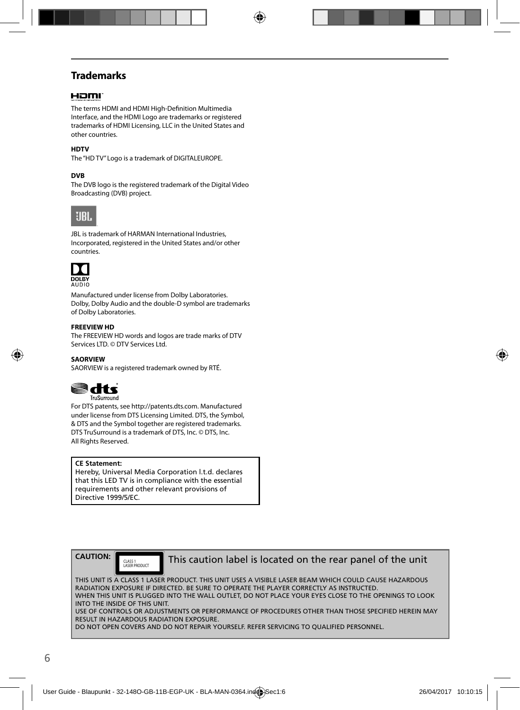### **Trademarks**

### Homr

The terms HDMI and HDMI High-Definition Multimedia Interface, and the HDMI Logo are trademarks or registered trademarks of HDMI Licensing, LLC in the United States and other countries.

#### **HDTV**

The "HD TV" Logo is a trademark of DIGITALEUROPE.

#### **DVB**

The DVB logo is the registered trademark of the Digital Video Broadcasting (DVB) project.



JBL is trademark of HARMAN International Industries, Incorporated, registered in the United States and/or other countries.



Manufactured under license from Dolby Laboratories. Dolby, Dolby Audio and the double-D symbol are trademarks of Dolby Laboratories.

#### **FREEVIEW HD**

The FREEVIEW HD words and logos are trade marks of DTV Services LTD. © DTV Services Ltd.

#### **SAORVIEW**

SAORVIEW is a registered trademark owned by RTÉ.



For DTS patents, see http://patents.dts.com. Manufactured under license from DTS Licensing Limited. DTS, the Symbol, & DTS and the Symbol together are registered trademarks. DTS TruSurround is a trademark of DTS, Inc. © DTS, Inc. All Rights Reserved.

#### **CE Statement:**

Hereby, Universal Media Corporation l.t.d. declares that this LED TV is in compliance with the essential requirements and other relevant provisions of Directive 1999/5/EC.

**CAUTION:**

CLASS 1<br>LASER PRODUCT

This caution label is located on the rear panel of the unit

THIS UNIT IS A CLASS 1 LASER PRODUCT. THIS UNIT USES A VISIBLE LASER BEAM WHICH COULD CAUSE HAZARDOUS RADIATION EXPOSURE IF DIRECTED. BE SURE TO OPERATE THE PLAYER CORRECTLY AS INSTRUCTED. WHEN THIS UNIT IS PLUGGED INTO THE WALL OUTLET, DO NOT PLACE YOUR EYES CLOSE TO THE OPENINGS TO LOOK INTO THE INSIDE OF THIS UNIT. USE OF CONTROLS OR ADJUSTMENTS OR PERFORMANCE OF PROCEDURES OTHER THAN THOSE SPECIFIED HEREIN MAY RESULT IN HAZARDOUS RADIATION EXPOSURE.

DO NOT OPEN COVERS AND DO NOT REPAIR YOURSELF. REFER SERVICING TO QUALIFIED PERSONNEL.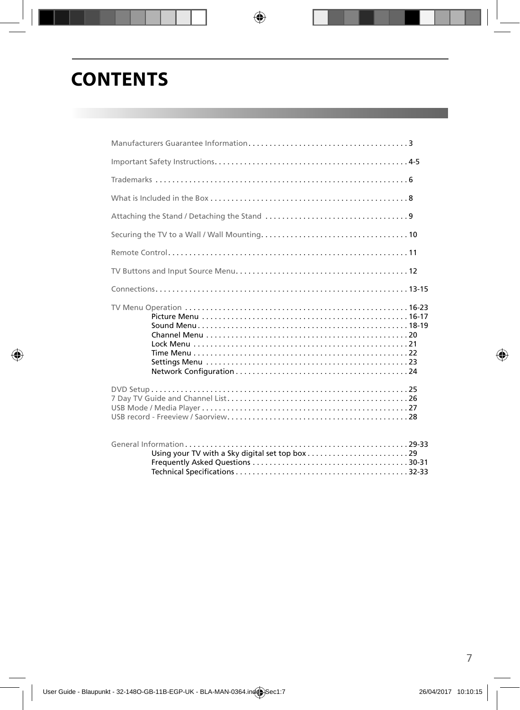# **CONTENTS**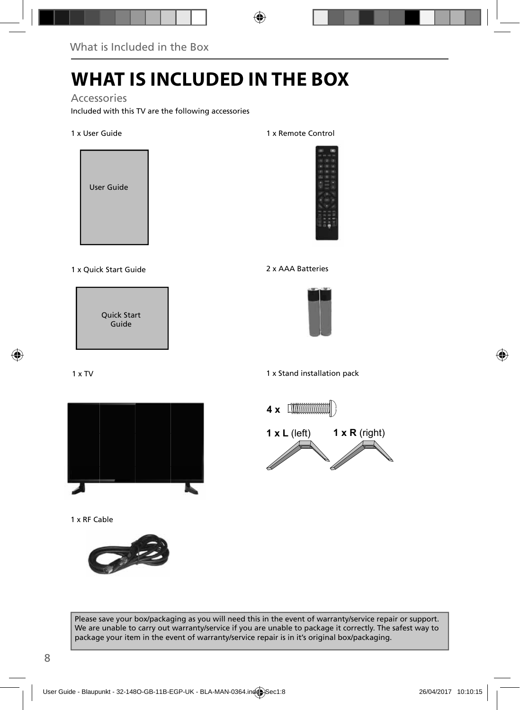# **WHAT IS INCLUDED IN THE BOX**

Accessories

Included with this TV are the following accessories

1 x User Guide



1 x Quick Start Guide 2 x AAA Batteries

Quick Start Guide

1 x TV



1 x RF Cable



1 x Remote Control





1 x Stand installation pack



Please save your box/packaging as you will need this in the event of warranty/service repair or support. We are unable to carry out warranty/service if you are unable to package it correctly. The safest way to package your item in the event of warranty/service repair is in it's original box/packaging.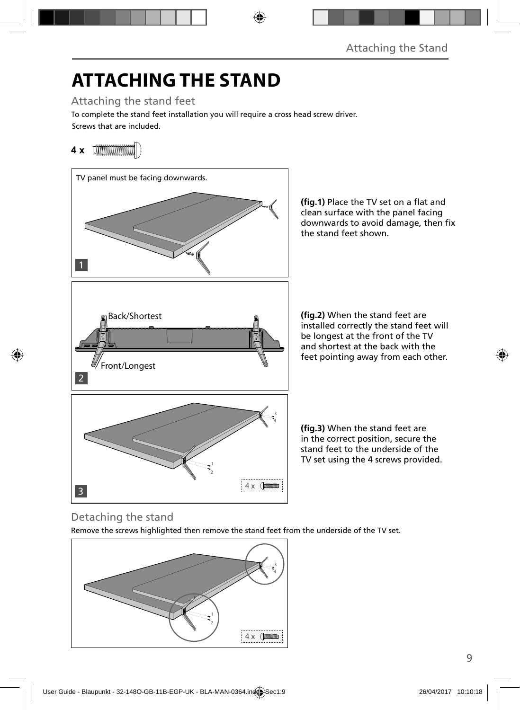# **ATTACHING THE STAND**

Attaching the stand feet

Screws that are included. To complete the stand feet installation you will require a cross head screw driver.

### **4 x**



**(fig.1)** Place the TV set on a flat and clean surface with the panel facing downwards to avoid damage, then fix the stand feet shown.

**(fig.2)** When the stand feet are installed correctly the stand feet will be longest at the front of the TV and shortest at the back with the feet pointing away from each other.

(fig.3) When the stand feet are in the correct position, secure the stand feet to the underside of the TV set using the 4 screws provided.

### Detaching the stand

Remove the screws highlighted then remove the stand feet from the underside of the TV set.

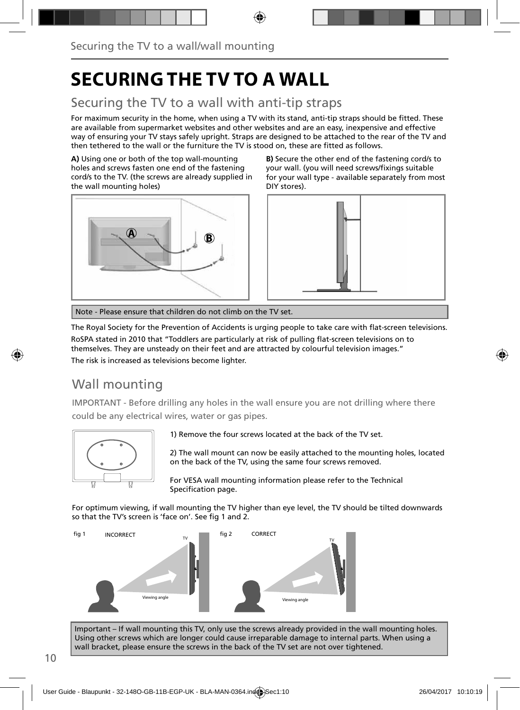# **SECURING THE TV TO A WALL**

### Securing the TV to a wall with anti-tip straps

For maximum security in the home, when using a TV with its stand, anti-tip straps should be fitted. These are available from supermarket websites and other websites and are an easy, inexpensive and effective way of ensuring your TV stays safely upright. Straps are designed to be attached to the rear of the TV and then tethered to the wall or the furniture the TV is stood on, these are fitted as follows.

**A)** Using one or both of the top wall-mounting holes and screws fasten one end of the fastening cord/s to the TV. (the screws are already supplied in the wall mounting holes)



**B)** Secure the other end of the fastening cord/s to your wall. (you will need screws/fixings suitable for your wall type - available separately from most DIY stores).



Note - Please ensure that children do not climb on the TV set.

The Royal Society for the Prevention of Accidents is urging people to take care with flat-screen televisions. RoSPA stated in 2010 that "Toddlers are particularly at risk of pulling flat-screen televisions on to themselves. They are unsteady on their feet and are attracted by colourful television images." The risk is increased as televisions become lighter.

### Wall mounting

IMPORTANT - Before drilling any holes in the wall ensure you are not drilling where there could be any electrical wires, water or gas pipes.



1) Remove the four screws located at the back of the TV set.

2) The wall mount can now be easily attached to the mounting holes, located on the back of the TV, using the same four screws removed.

For VESA wall mounting information please refer to the Technical Specification page.

For optimum viewing, if wall mounting the TV higher than eye level, the TV should be tilted downwards so that the TV's screen is 'face on'. See fig 1 and 2.



Important – If wall mounting this TV, only use the screws already provided in the wall mounting holes. Using other screws which are longer could cause irreparable damage to internal parts. When using a wall bracket, please ensure the screws in the back of the TV set are not over tightened.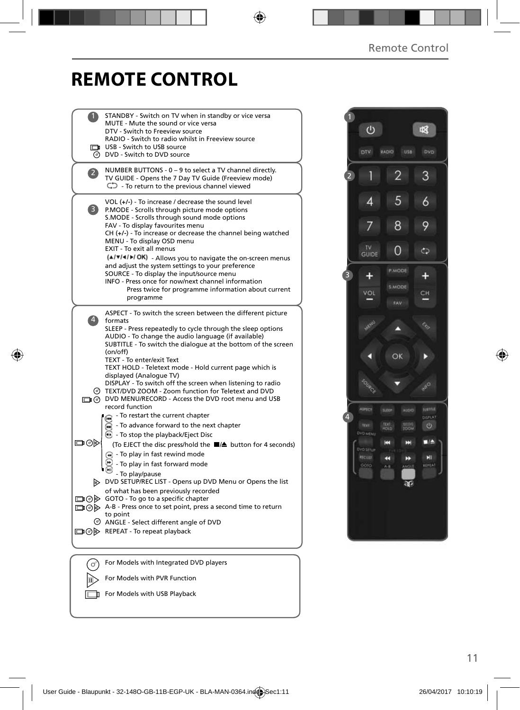## **REMOTE CONTROL**

|                   | STANDBY - Switch on TV when in standby or vice versa                                                                      |  |
|-------------------|---------------------------------------------------------------------------------------------------------------------------|--|
|                   | MUTE - Mute the sound or vice versa<br>DTV - Switch to Freeview source                                                    |  |
|                   | RADIO - Switch to radio whilst in Freeview source                                                                         |  |
|                   | USB - Switch to USB source                                                                                                |  |
|                   | <b>O</b> DVD - Switch to DVD source                                                                                       |  |
| $\overline{2}$    | NUMBER BUTTONS - 0 - 9 to select a TV channel directly.                                                                   |  |
|                   | TV GUIDE - Opens the 7 Day TV Guide (Freeview mode)                                                                       |  |
|                   | $\mathbb{C}$ - To return to the previous channel viewed                                                                   |  |
|                   | VOL $(+/-)$ - To increase / decrease the sound level                                                                      |  |
| $\vert 3 \rangle$ | P.MODE - Scrolls through picture mode options                                                                             |  |
|                   | S.MODE - Scrolls through sound mode options                                                                               |  |
|                   | FAV - To display favourites menu<br>$CH (+/-)$ - To increase or decrease the channel being watched                        |  |
|                   | MENU - To display OSD menu                                                                                                |  |
|                   | EXIT - To exit all menus                                                                                                  |  |
|                   | (A/V/4/M/OK) - Allows you to navigate the on-screen menus                                                                 |  |
|                   | and adjust the system settings to your preference<br>SOURCE - To display the input/source menu                            |  |
|                   | INFO - Press once for now/next channel information                                                                        |  |
|                   | Press twice for programme information about current                                                                       |  |
|                   | programme                                                                                                                 |  |
|                   | ASPECT - To switch the screen between the different picture                                                               |  |
| $\vert 4 \rangle$ | formats                                                                                                                   |  |
|                   | SLEEP - Press repeatedly to cycle through the sleep options                                                               |  |
|                   | AUDIO - To change the audio language (if available)<br>SUBTITLE - To switch the dialogue at the bottom of the screen      |  |
|                   | (on/off)                                                                                                                  |  |
|                   | TEXT - To enter/exit Text                                                                                                 |  |
|                   | TEXT HOLD - Teletext mode - Hold current page which is<br>displayed (Analogue TV)                                         |  |
|                   | DISPLAY - To switch off the screen when listening to radio                                                                |  |
|                   | TEXT/DVD ZOOM - Zoom function for Teletext and DVD                                                                        |  |
|                   | DVD MENU/RECORD - Access the DVD root menu and USB                                                                        |  |
|                   | record function<br>- To restart the current chapter                                                                       |  |
|                   | ⋒<br>$\widetilde{m}$ - To advance forward to the next chapter                                                             |  |
|                   | $\odot$ - To stop the playback/Eject Disc                                                                                 |  |
| ⊡⊙⊳               | (To EJECT the disc press/hold the ■/▲ button for 4 seconds)                                                               |  |
|                   | $\left( \mathbf{A} \right)$ - To play in fast rewind mode                                                                 |  |
|                   | - To play in fast forward mode                                                                                            |  |
|                   | - To play/pause                                                                                                           |  |
|                   | DVD SETUP/REC LIST - Opens up DVD Menu or Opens the list                                                                  |  |
|                   | of what has been previously recorded                                                                                      |  |
|                   | $\Box$ $\odot$ $\odot$ GOTO - To go to a specific chapter<br>A-B - Press once to set point, press a second time to return |  |
|                   | to point                                                                                                                  |  |
|                   | ANGLE - Select different angle of DVD                                                                                     |  |
|                   | □ ⓒ > REPEAT - To repeat playback                                                                                         |  |
|                   |                                                                                                                           |  |
|                   |                                                                                                                           |  |
| ď                 | For Models with Integrated DVD players                                                                                    |  |
|                   | For Models with PVR Function                                                                                              |  |
|                   |                                                                                                                           |  |

For Models with USB Playback



11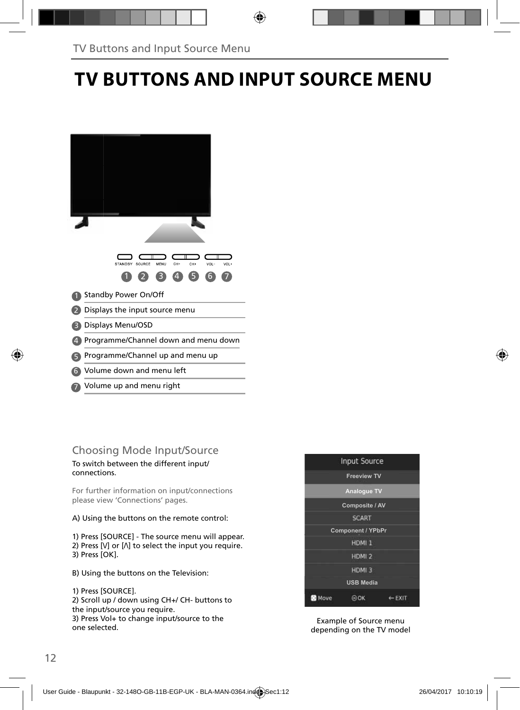# **TV BUTTONS AND INPUT SOURCE MENU**

| STANDBY SOURCE<br>CH-<br>CH+<br>VOL-<br>MENU<br>VOL+<br>$\overline{4}$<br>6<br>3 |
|----------------------------------------------------------------------------------|
| <b>Standby Power On/Off</b>                                                      |
| Displays the input source menu                                                   |
| Displays Menu/OSD                                                                |
| Programme/Channel down and menu down                                             |
| Programme/Channel up and menu up                                                 |
| Volume down and menu left<br>6                                                   |
| Volume up and menu right                                                         |

# Choosing Mode Input/Source

To switch between the different input/ connections.

For further information on input/connections please view 'Connections' pages.

A) Using the buttons on the remote control:

1) Press [SOURCE] - The source menu will appear. 2) Press  $[V]$  or  $[\Lambda]$  to select the input you require. 3) Press [OK].

B) Using the buttons on the Television:

1) Press [SOURCE]. 2) Scroll up / down using CH+/ CH- buttons to the input/source you require. 3) Press Vol+ to change input/source to the one selected.



Example of Source menu depending on the TV model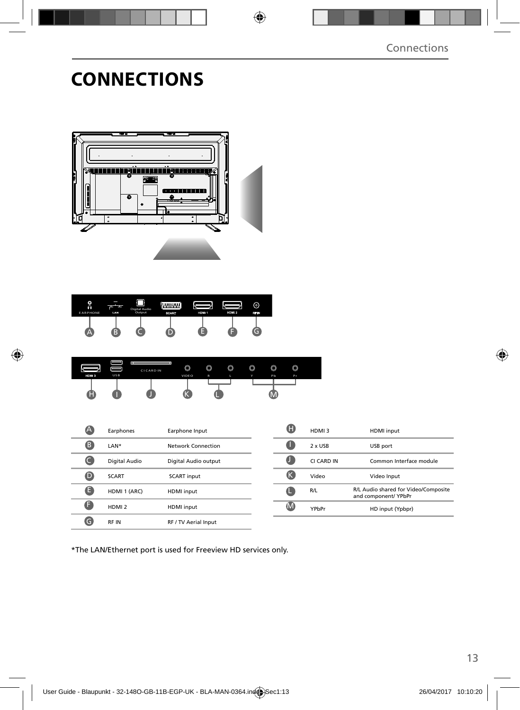# **CONNECTIONS**



| o<br>$\Omega$<br><b>EARPHONE</b> | LAN | Digital Audio<br>Output | aann<br>SCART | HDM <sub>1</sub> | HDM 2 | ര<br>RF N |  |
|----------------------------------|-----|-------------------------|---------------|------------------|-------|-----------|--|
| ≔                                |     |                         |               |                  |       |           |  |

| HDM <sub>3</sub><br>н | <b>USB</b> |                         | VIDEO | $\mathbb{R}$ |   | Y      | Pb     | Pr     |  |
|-----------------------|------------|-------------------------|-------|--------------|---|--------|--------|--------|--|
|                       |            | t r<br><b>CICARD IN</b> | O     | O            | 0 | ◚<br>u | ◚<br>v | ◚<br>◡ |  |

|   | Earphones         | Earphone Input       |
|---|-------------------|----------------------|
| B | LAN*              | Network Connection   |
|   | Digital Audio     | Digital Audio output |
|   | <b>SCART</b>      | <b>SCART</b> input   |
| Е | HDMI 1 (ARC)      | <b>HDMI</b> input    |
|   | HDMI <sub>2</sub> | <b>HDMI</b> input    |
|   | <b>RFIN</b>       | RF / TV Aerial Input |

| HDMI3      | <b>HDMI</b> input                                            |
|------------|--------------------------------------------------------------|
| 2 x USB    | USB port                                                     |
| CI CARD IN | Common Interface module                                      |
| Video      | Video Input                                                  |
| R/L        | R/L Audio shared for Video/Composite<br>and component/ YPbPr |
| YPhPr      | HD input (Ypbpr)                                             |

\*The LAN/Ethernet port is used for Freeview HD services only.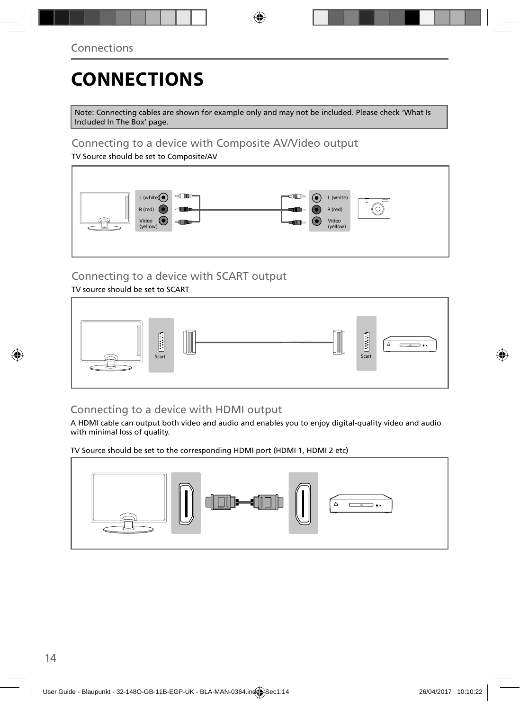# **CONNECTIONS**

Note: Connecting cables are shown for example only and may not be included. Please check 'What Is Included In The Box' page.

### Connecting to a device with Composite AV/Video output

TV Source should be set to Composite/AV



### Connecting to a device with SCART output

TV source should be set to SCART



### Connecting to a device with HDMI output

A HDMI cable can output both video and audio and enables you to enjoy digital-quality video and audio with minimal loss of quality.

TV Source should be set to the corresponding HDMI port (HDMI 1, HDMI 2 etc)

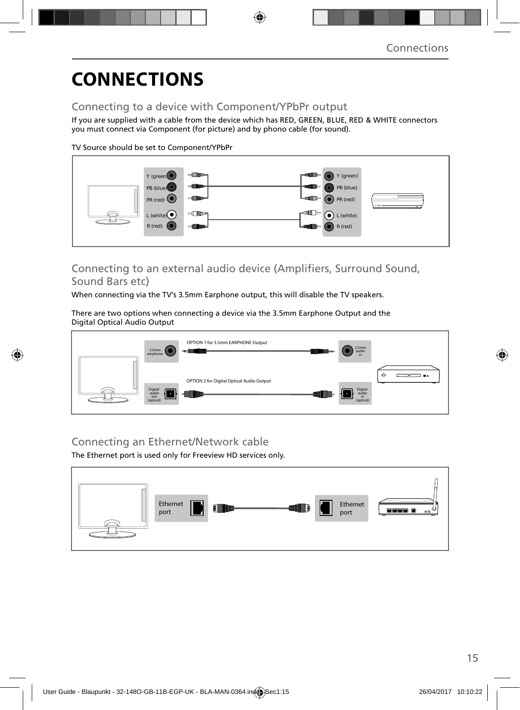# **CONNECTIONS**

### Connecting to a device with Component/YPbPr output

If you are supplied with a cable from the device which has RED, GREEN, BLUE, RED & WHITE connectors you must connect via Component (for picture) and by phono cable (for sound).

TV Source should be set to Component/YPbPr



### Connecting to an external audio device (Amplifiers, Surround Sound, Sound Bars etc)

When connecting via the TV's 3.5mm Earphone output, this will disable the TV speakers.

There are two options when connecting a device via the 3.5mm Earphone Output and the Digital Optical Audio Output



### Connecting an Ethernet/Network cable

The Ethernet port is used only for Freeview HD services only.

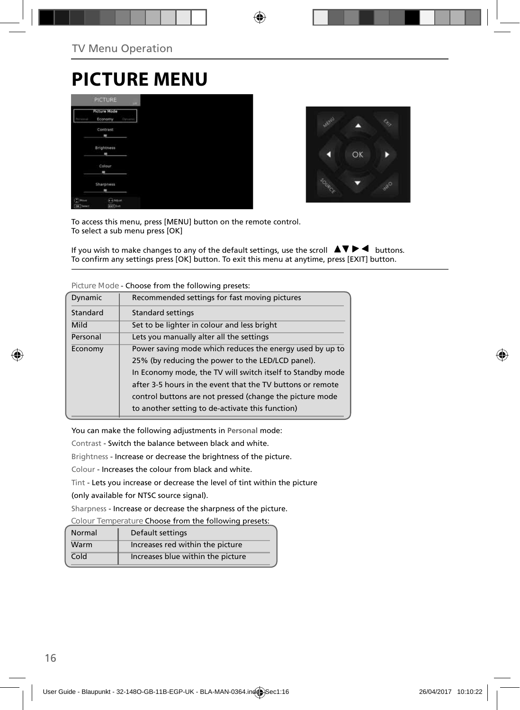### **PICTURE MENU**

|                      | <b>PICTURE</b>      |        |
|----------------------|---------------------|--------|
|                      | <b>Picture Mode</b> |        |
| <b><i>Parmak</i></b> | Economy             | Dysami |
|                      | Contrast            |        |
|                      | ٠                   |        |
|                      | Brightness          |        |
|                      | m                   |        |
|                      | Colour              |        |
|                      | ۰                   |        |
|                      | Sharpness           |        |
|                      | ٠                   |        |
| (C) Move             | <b>CoAsur</b>       |        |
| OK Tered             | <b>SKY Exit</b>     |        |



To access this menu, press [MENU] button on the remote control. To select a sub menu press [OK]

If you wish to make changes to any of the default settings, use the scroll  $\Box \blacktriangledown \blacktriangleright \blacktriangleleft$  buttons. To confirm any settings press [OK] button. To exit this menu at anytime, press [EXIT] button.

| Dynamic                                             | Recommended settings for fast moving pictures              |  |  |
|-----------------------------------------------------|------------------------------------------------------------|--|--|
| Standard                                            | <b>Standard settings</b>                                   |  |  |
| Mild<br>Set to be lighter in colour and less bright |                                                            |  |  |
| Personal                                            | Lets you manually alter all the settings                   |  |  |
| Economy                                             | Power saving mode which reduces the energy used by up to   |  |  |
|                                                     | 25% (by reducing the power to the LED/LCD panel).          |  |  |
|                                                     | In Economy mode, the TV will switch itself to Standby mode |  |  |
|                                                     | after 3-5 hours in the event that the TV buttons or remote |  |  |
|                                                     | control buttons are not pressed (change the picture mode   |  |  |
|                                                     | to another setting to de-activate this function)           |  |  |
|                                                     |                                                            |  |  |

**Picture Mode** - Choose from the following presets:

You can make the following adjustments in **Personal** mode:

Contrast - Switch the balance between black and white.

Brightness - Increase or decrease the brightness of the picture.

Colour - Increases the colour from black and white.

Tint - Lets you increase or decrease the level of tint within the picture

(only available for NTSC source signal).

Sharpness - Increase or decrease the sharpness of the picture.

**Colour Temperature** Choose from the following presets:

| Normal | Default settings                  |
|--------|-----------------------------------|
| Warm   | Increases red within the picture  |
| Cold   | Increases blue within the picture |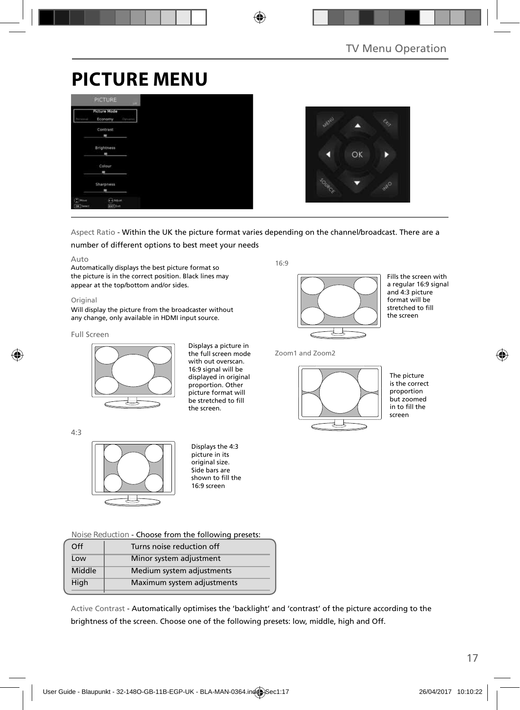# **PICTURE MENU**

|                                         | <b>PICTURE</b>                 | <b>COLL</b> |
|-----------------------------------------|--------------------------------|-------------|
| Personal                                | <b>Picture Mode</b><br>Economy | Dynamic     |
|                                         | Contrast<br>٠                  |             |
|                                         | <b>Brightness</b><br>m         |             |
|                                         | Colour<br>ı                    |             |
|                                         | Sharpness<br>٠                 |             |
| $\mathbb{C}^{\mathsf{Mon}}$<br>OK Tered | <b>CAASUS</b><br>dorf Est      |             |



#### Aspect Ratio - Within the UK the picture format varies depending on the channel/broadcast. There are a

#### number of different options to best meet your needs

#### Auto

Automatically displays the best picture format so the picture is in the correct position. Black lines may appear at the top/bottom and/or sides.

#### Original

Will display the picture from the broadcaster without any change, only available in HDMI input source.

#### Full Screen



Displays a picture in the full screen mode with out overscan. 16:9 signal will be displayed in original proportion. Other picture format will .<br>be stretched to fill the screen.

16:9



Fills the screen with a regular 16:9 signal and 4:3 picture format will be stretched to fill the screen

Zoom1 and Zoom2



The picture is the correct proportion but zoomed in to fill the screen

4:3



Displays the 4:3 picture in its original size. Side bars are shown to fill the 16:9 screen

**Noise Reduction** - Choose from the following presets:

| Off    | Turns noise reduction off  |  |
|--------|----------------------------|--|
| Low    | Minor system adjustment    |  |
| Middle | Medium system adjustments  |  |
| High   | Maximum system adjustments |  |
|        |                            |  |

Active Contrast - Automatically optimises the 'backlight' and 'contrast' of the picture according to the brightness of the screen. Choose one of the following presets: low, middle, high and Off.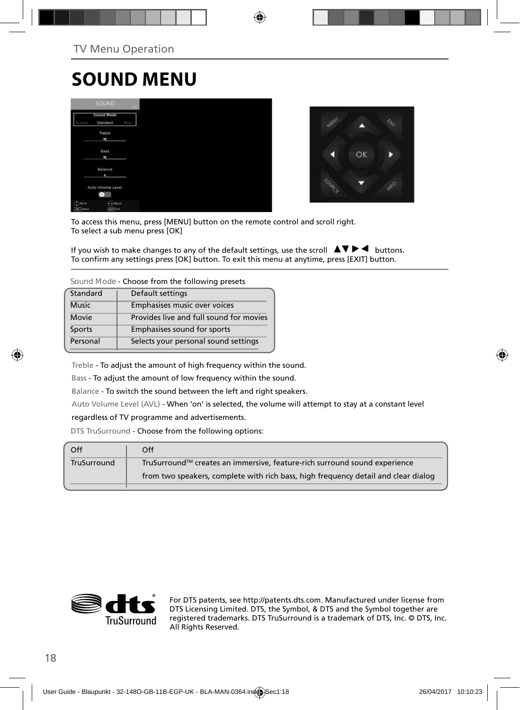# **SOUND MENU**

|                                        | <b>SOUND</b>              |             |
|----------------------------------------|---------------------------|-------------|
|                                        | Sound Mode<br>Standard    | <b>Mary</b> |
|                                        | Treble<br>٠               |             |
|                                        | Bass<br>٠                 |             |
|                                        | Balance<br>٠              |             |
|                                        | Auto Volume Level<br>÷    |             |
| $\binom{n}{k}$ Have<br><b>OK</b> Twent | Adjust<br><b>Earl Cat</b> |             |



To access this menu, press [MENU] button on the remote control and scroll right. To select a sub menu press [OK]

If you wish to make changes to any of the default settings, use the scroll  $\Box \blacktriangledown \blacktriangleright \blacktriangleleft$  buttons. To confirm any settings press [OK] button. To exit this menu at anytime, press [EXIT] button.

**Sound Mode** - Choose from the following presets

| Standard     | Default settings                        |
|--------------|-----------------------------------------|
| <b>Music</b> | Emphasises music over voices            |
| Movie        | Provides live and full sound for movies |
| Sports       | Emphasises sound for sports             |
| Personal     | Selects your personal sound settings    |

Treble - To adjust the amount of high frequency within the sound.

Bass - To adjust the amount of low frequency within the sound.

Balance - To switch the sound between the left and right speakers.

Auto Volume Level (AVL) - When 'on' is selected, the volume will attempt to stay at a constant level

#### regardless of TV programme and advertisements.

DTS TruSurround - Choose from the following options:

| Off         | Off                                                                                |
|-------------|------------------------------------------------------------------------------------|
| TruSurround | TruSurround™ creates an immersive, feature-rich surround sound experience          |
|             | from two speakers, complete with rich bass, high frequency detail and clear dialog |
|             |                                                                                    |



For DTS patents, see http://patents.dts.com. Manufactured under license from DTS Licensing Limited. DTS, the Symbol, & DTS and the Symbol together are registered trademarks. DTS TruSurround is a trademark of DTS, Inc. © DTS, Inc. All Rights Reserved.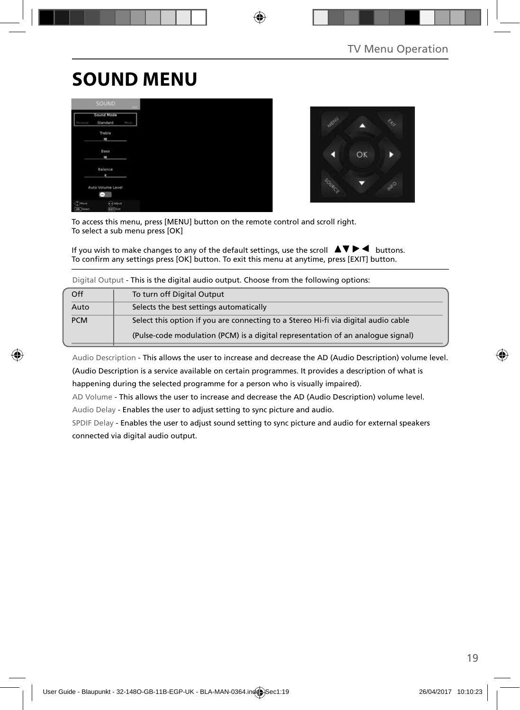# **SOUND MENU**

|                                       | <b>SOUND</b>              |      |
|---------------------------------------|---------------------------|------|
|                                       | Sound Mode<br>Standard    | Nova |
|                                       | Treble<br>٠               |      |
|                                       | Bass<br>۰                 |      |
|                                       | Balance<br>٠              |      |
|                                       | Auto Volume Level         |      |
| г<br><b>Niaue</b><br><b>OK</b>   Seed | <b>Alliant</b><br>earlist |      |



To access this menu, press [MENU] button on the remote control and scroll right. To select a sub menu press [OK]

If you wish to make changes to any of the default settings, use the scroll  $\Box \Box \Box \Box$  buttons. To confirm any settings press [OK] button. To exit this menu at anytime, press [EXIT] button.

|  |  | Digital Output - This is the digital audio output. Choose from the following options: |
|--|--|---------------------------------------------------------------------------------------|
|  |  |                                                                                       |

| Off        | To turn off Digital Output                                                         |
|------------|------------------------------------------------------------------------------------|
| Auto       | Selects the best settings automatically                                            |
| <b>PCM</b> | Select this option if you are connecting to a Stereo Hi-fi via digital audio cable |
|            | (Pulse-code modulation (PCM) is a digital representation of an analogue signal)    |

Audio Description - This allows the user to increase and decrease the AD (Audio Description) volume level. (Audio Description is a service available on certain programmes. It provides a description of what is happening during the selected programme for a person who is visually impaired).

AD Volume - This allows the user to increase and decrease the AD (Audio Description) volume level.

Audio Delay - Enables the user to adjust setting to sync picture and audio.

SPDIF Delay - Enables the user to adjust sound setting to sync picture and audio for external speakers connected via digital audio output.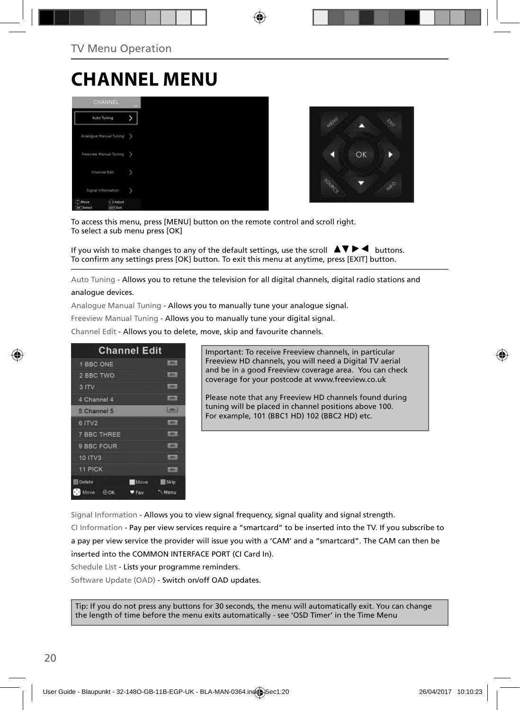### **CHANNEL MENU**





To access this menu, press [MENU] button on the remote control and scroll right. To select a sub menu press [OK]

If you wish to make changes to any of the default settings, use the scroll  $\Box \blacktriangledown \blacktriangleright \blacktriangleleft$  buttons. To confirm any settings press [OK] button. To exit this menu at anytime, press [EXIT] button.

Auto Tuning - Allows you to retune the television for all digital channels, digital radio stations and analogue devices.

Analogue Manual Tuning - Allows you to manually tune your analogue signal.

Freeview Manual Tuning - Allows you to manually tune your digital signal.

Channel Edit - Allows you to delete, move, skip and favourite channels.

| <b>Channel Edit</b>                     |               |
|-----------------------------------------|---------------|
| 1 BBC ONE                               | <b>LIDRAL</b> |
| 2 BBC TWO                               | 1,000         |
| 3 ITV                                   | 1,0741        |
| 4 Channel 4                             | <b>LOTAL</b>  |
| 5 Channel 5                             | 10001         |
| 6 ITV2                                  | 1,000.0       |
| <b>7 BBC THREE</b>                      | <b>LOTV</b>   |
| 9 BBC FOUR                              | <b>LEWIS</b>  |
| 10 ITV3                                 | <b>COTWIL</b> |
| <b>11 PICK</b>                          | <b>COTACC</b> |
| <b>Delete</b><br>Move                   | 图 Skip        |
| Move<br>$\Theta$ OK<br>$v_{\text{Fav}}$ | Menu          |

Important: To receive Freeview channels, in particular Freeview HD channels, you will need a Digital TV aerial and be in a good Freeview coverage area. You can check coverage for your postcode at www.freeview.co.uk

Please note that any Freeview HD channels found during tuning will be placed in channel positions above 100. For example, 101 (BBC1 HD) 102 (BBC2 HD) etc.

Signal Information - Allows you to view signal frequency, signal quality and signal strength.

CI Information - Pay per view services require a "smartcard" to be inserted into the TV. If you subscribe to a pay per view service the provider will issue you with a 'CAM' and a "smartcard". The CAM can then be inserted into the COMMON INTERFACE PORT (CI Card In).

Schedule List - Lists your programme reminders.

Software Update (OAD) - Switch on/off OAD updates.

Tip: If you do not press any buttons for 30 seconds, the menu will automatically exit. You can change the length of time before the menu exits automatically - see 'OSD Timer' in the Time Menu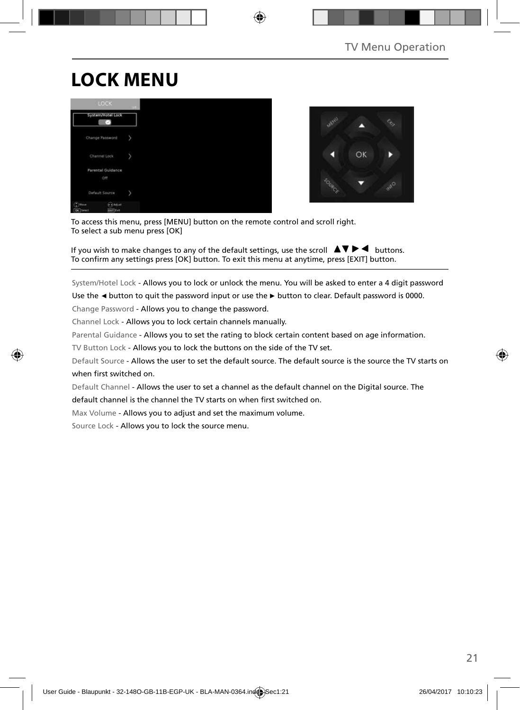# **LOCK MENU**





To access this menu, press [MENU] button on the remote control and scroll right. To select a sub menu press [OK]

If you wish to make changes to any of the default settings, use the scroll  $\blacktriangle \blacktriangledown \blacktriangleright \blacktriangleleft$  buttons. To confirm any settings press [OK] button. To exit this menu at anytime, press [EXIT] button.

System/Hotel Lock - Allows you to lock or unlock the menu. You will be asked to enter a 4 digit password

Use the **◄** button to quit the password input or use the **►** button to clear. Default password is 0000.

Change Password - Allows you to change the password.

Channel Lock - Allows you to lock certain channels manually.

Parental Guidance - Allows you to set the rating to block certain content based on age information.

TV Button Lock - Allows you to lock the buttons on the side of the TV set.

Default Source - Allows the user to set the default source. The default source is the source the TV starts on when first switched on.

Default Channel - Allows the user to set a channel as the default channel on the Digital source. The

default channel is the channel the TV starts on when first switched on.

Max Volume - Allows you to adjust and set the maximum volume.

Source Lock - Allows you to lock the source menu.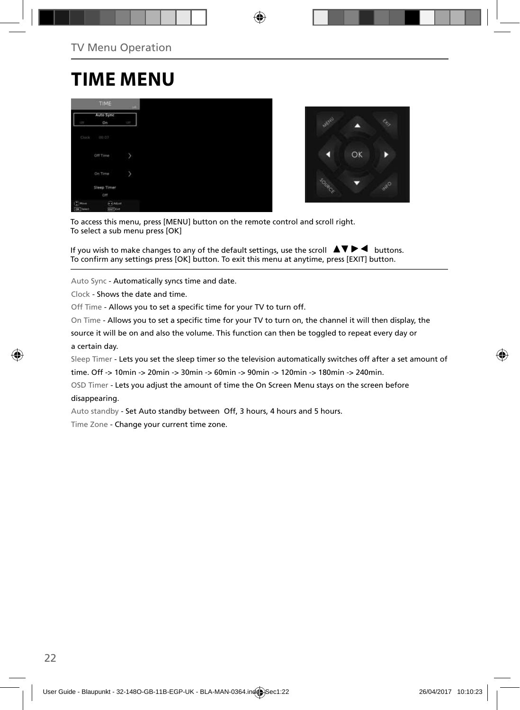### **TIME MENU**

|                                         | TIME                             | $-141$     |
|-----------------------------------------|----------------------------------|------------|
|                                         | Auto Sync                        |            |
| q                                       | On                               | <b>CEP</b> |
| Clock                                   | 00:07                            |            |
|                                         | Off Time                         | л          |
|                                         | On Time                          | y          |
|                                         | Sleep Timer                      |            |
|                                         | Off                              |            |
| $\binom{n}{k}$ Have<br><b>Die Swech</b> | <b>CAASat</b><br><b>Earl</b> Cat |            |



To access this menu, press [MENU] button on the remote control and scroll right. To select a sub menu press [OK]

If you wish to make changes to any of the default settings, use the scroll  $\blacktriangle \blacktriangledown \blacktriangleright \blacktriangleleft$  buttons. To confirm any settings press [OK] button. To exit this menu at anytime, press [EXIT] button.

Auto Sync - Automatically syncs time and date.

Clock - Shows the date and time.

Off Time - Allows you to set a specific time for your TV to turn off.

On Time - Allows you to set a specific time for your TV to turn on, the channel it will then display, the

source it will be on and also the volume. This function can then be toggled to repeat every day or a certain day.

Sleep Timer - Lets you set the sleep timer so the television automatically switches off after a set amount of

time. Off -> 10min -> 20min -> 30min -> 60min -> 90min -> 120min -> 180min -> 240min.

OSD Timer - Lets you adjust the amount of time the On Screen Menu stays on the screen before

#### disappearing.

Auto standby - Set Auto standby between Off, 3 hours, 4 hours and 5 hours.

Time Zone - Change your current time zone.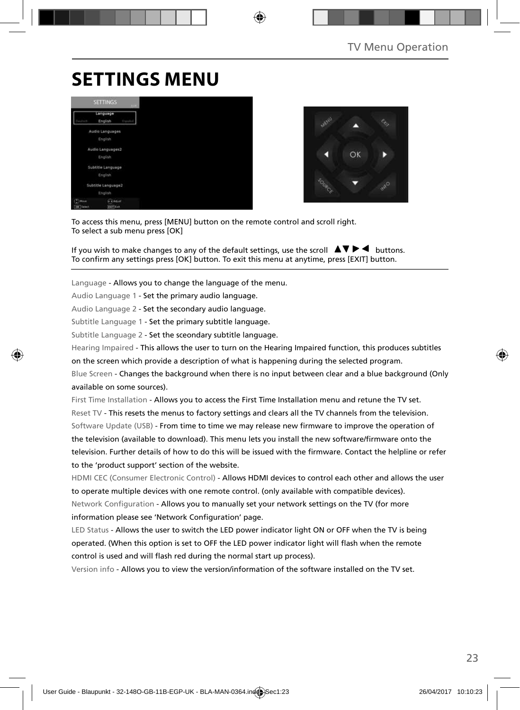# **SETTINGS MENU**





To access this menu, press [MENU] button on the remote control and scroll right. To select a sub menu press [OK]

If you wish to make changes to any of the default settings, use the scroll  $\Box \blacktriangledown \blacktriangleright \blacktriangleleft$  buttons. To confirm any settings press [OK] button. To exit this menu at anytime, press [EXIT] button.

Language - Allows you to change the language of the menu.

Audio Language 1 - Set the primary audio language.

Audio Language 2 - Set the secondary audio language.

Subtitle Language 1 - Set the primary subtitle language.

Subtitle Language 2 - Set the sceondary subtitle language.

Hearing Impaired - This allows the user to turn on the Hearing Impaired function, this produces subtitles

on the screen which provide a description of what is happening during the selected program.

Blue Screen - Changes the background when there is no input between clear and a blue background (Only available on some sources).

First Time Installation - Allows you to access the First Time Installation menu and retune the TV set. Reset TV - This resets the menus to factory settings and clears all the TV channels from the television. Software Update (USB) - From time to time we may release new firmware to improve the operation of the television (available to download). This menu lets you install the new software/firmware onto the television. Further details of how to do this will be issued with the firmware. Contact the helpline or refer to the 'product support' section of the website.

HDMI CEC (Consumer Electronic Control) - Allows HDMI devices to control each other and allows the user to operate multiple devices with one remote control. (only available with compatible devices). Network Configuration - Allows you to manually set your network settings on the TV (for more information please see 'Network Configuration' page.

LED Status - Allows the user to switch the LED power indicator light ON or OFF when the TV is being operated. (When this option is set to OFF the LED power indicator light will flash when the remote control is used and will flash red during the normal start up process).

Version info - Allows you to view the version/information of the software installed on the TV set.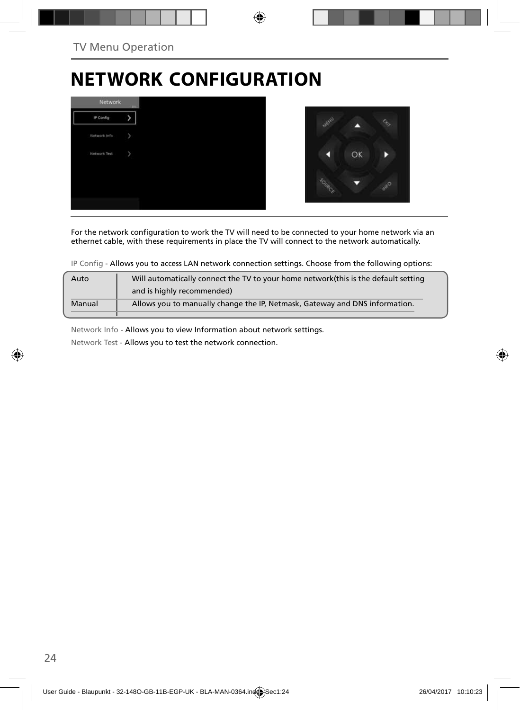# **NETWORK CONFIGURATION**



For the network configuration to work the TV will need to be connected to your home network via an ethernet cable, with these requirements in place the TV will connect to the network automatically.

IP Config - Allows you to access LAN network connection settings. Choose from the following options:

| Auto   | Will automatically connect the TV to your home network (this is the default setting |
|--------|-------------------------------------------------------------------------------------|
|        | and is highly recommended)                                                          |
| Manual | Allows you to manually change the IP, Netmask, Gateway and DNS information.         |
|        |                                                                                     |

Network Info - Allows you to view Information about network settings.

Network Test - Allows you to test the network connection.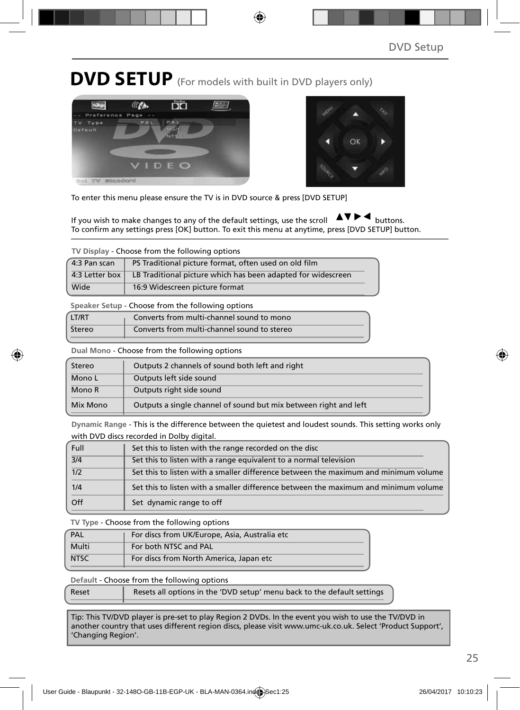**DVD SETUP** (For models with built in DVD players only)





To enter this menu please ensure the TV is in DVD source & press [DVD SETUP]

If you wish to make changes to any of the default settings, use the scroll  $\Delta \nabla \blacktriangleright \blacktriangleleft$  buttons. To confirm any settings press [OK] button. To exit this menu at anytime, press [DVD SETUP] button.

**TV Display** - Choose from the following options

| 4:3 Pan scan   | PS Traditional picture format, often used on old film        |
|----------------|--------------------------------------------------------------|
| 4:3 Letter box | LB Traditional picture which has been adapted for widescreen |
| Wide           | 16:9 Widescreen picture format                               |

**Speaker Setup** - Choose from the following options

| LT/RT  | Converts from multi-channel sound to mono   |
|--------|---------------------------------------------|
| Stereo | Converts from multi-channel sound to stereo |

**Dual Mono** - Choose from the following options

| Stereo   | Outputs 2 channels of sound both left and right                  |
|----------|------------------------------------------------------------------|
| Mono L   | Outputs left side sound                                          |
| Mono R   | Outputs right side sound                                         |
| Mix Mono | Outputs a single channel of sound but mix between right and left |

**Dynamic Range** - This is the difference between the quietest and loudest sounds. This setting works only with DVD discs recorded in Dolby digital.

| Full | Set this to listen with the range recorded on the disc                              |
|------|-------------------------------------------------------------------------------------|
| 3/4  | Set this to listen with a range equivalent to a normal television                   |
| 1/2  | Set this to listen with a smaller difference between the maximum and minimum volume |
| 1/4  | Set this to listen with a smaller difference between the maximum and minimum volume |
| Off  | Set dynamic range to off                                                            |

**TV Type** - Choose from the following options

| PAL         | For discs from UK/Europe, Asia, Australia etc |
|-------------|-----------------------------------------------|
| Multi       | For both NTSC and PAL                         |
| <b>NTSC</b> | For discs from North America, Japan etc       |

**Default** - Choose from the following options

| Reset | Resets all options in the 'DVD setup' menu back to the default settings |
|-------|-------------------------------------------------------------------------|
|       |                                                                         |

Tip: This TV/DVD player is pre-set to play Region 2 DVDs. In the event you wish to use the TV/DVD in another country that uses different region discs, please visit www.umc-uk.co.uk. Select 'Product Support', 'Changing Region'.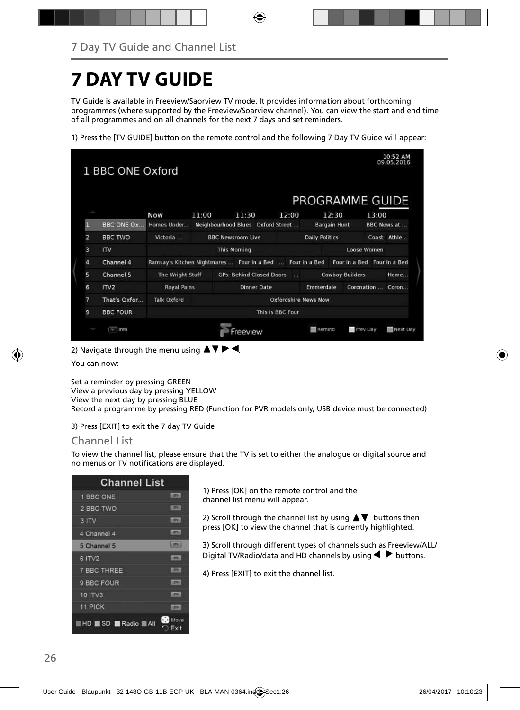# **7 DAY TV GUIDE**

TV Guide is available in Freeview/Saorview TV mode. It provides information about forthcoming programmes (where supported by the Freeview/Soarview channel). You can view the start and end time of all programmes and on all channels for the next 7 days and set reminders.

1) Press the [TV GUIDE] button on the remote control and the following 7 Day TV Guide will appear:

|                | 1 BBC ONE Oxford           |                    |                                            |                                   |              |                             |                             |       | 10:52 AM<br>09.05.2016 |
|----------------|----------------------------|--------------------|--------------------------------------------|-----------------------------------|--------------|-----------------------------|-----------------------------|-------|------------------------|
|                |                            |                    |                                            |                                   |              | PROGRAMME GUIDE             |                             |       |                        |
|                |                            | <b>Now</b>         | 11:00                                      | 11:30                             | 12:00        | 12:30                       |                             | 13:00 |                        |
| П              | <b>BBC ONE OX</b>          | Homes Under        |                                            | Neighbourhood Blues Oxford Street |              | <b>Bargain Hunt</b>         |                             |       | <b>BBC News at </b>    |
| $\overline{a}$ | <b>BBC TWO</b>             | Victoria           |                                            | <b>BBC Newsroom Live</b>          |              | <b>Daily Politics</b>       |                             |       | Coast Athle            |
| 3              | $\mathsf{I}^{\mathsf{IV}}$ |                    |                                            | <b>This Morning</b>               |              |                             | Loose Women                 |       |                        |
| 4              | Channel 4                  |                    | Ramsay's Kitchen Nightmares  Four in a Bed |                                   |              | Four in a Bed               | Four in a Bed Four in a Bed |       |                        |
| 5              | Channel 5                  | The Wright Stuff   |                                            | <b>GPs: Behind Closed Doors</b>   | <b>ANGER</b> |                             | <b>Cowboy Builders</b>      |       | Home                   |
| 6              | ITV <sub>2</sub>           | <b>Royal Pains</b> |                                            | <b>Dinner Date</b>                |              | Emmerdale                   | Coronation                  |       | Coron                  |
| 7              | That's Oxfor               | <b>Talk Oxford</b> |                                            |                                   |              | <b>Oxfordshire News Now</b> |                             |       |                        |
| 9              | <b>BBC FOUR</b>            | This Is BBC Four   |                                            |                                   |              |                             |                             |       |                        |
|                | wall info                  |                    |                                            | reeview                           |              | Remind                      | <b>Prev Day</b>             |       | Next Day               |

2) Navigate through the menu using  $\blacktriangle \blacktriangledown \blacktriangleright \blacktriangleleft$ .

You can now:

Set a reminder by pressing GREEN View a previous day by pressing YELLOW View the next day by pressing BLUE Record a programme by pressing RED (Function for PVR models only, USB device must be connected)

3) Press [EXIT] to exit the 7 day TV Guide

#### Channel List

To view the channel list, please ensure that the TV is set to either the analogue or digital source and no menus or TV notifications are displayed.

| <b>Channel List</b>    |                |
|------------------------|----------------|
| 1 BBC ONE              | <b>STORY</b>   |
| 2 BBC TWO              | <b>LERVICE</b> |
| 3 ITV                  | <b>LETK!</b>   |
| 4 Channel 4            | <b>CENTER</b>  |
| 5 Channel 5            | <b>LIGHT</b>   |
| 6 ITV2                 | 12741          |
| <b>7 BBC THREE</b>     | cone.          |
| 9 BBC FOUR             | <b>STEP</b>    |
| <b>10 ITV3</b>         | <b>LETH</b>    |
| 11 PICK                | <b>HERMA</b>   |
| <b>HD SD Radio BAI</b> | Move<br>Exit   |

1) Press [OK] on the remote control and the channel list menu will appear.

2) Scroll through the channel list by using  $\blacktriangle \blacktriangledown$  buttons then press [OK] to view the channel that is currently highlighted.

3) Scroll through different types of channels such as Freeview/ALL/ Digital TV/Radio/data and HD channels by using  $\blacklozenge \blacktriangleright$  buttons.

4) Press [EXIT] to exit the channel list.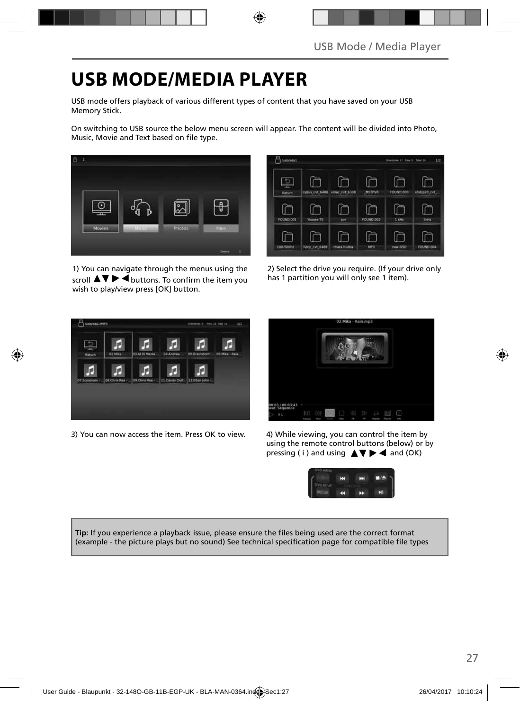# **USB MODE/MEDIA PLAYER**

USB mode offers playback of various different types of content that you have saved on your USB Memory Stick.

On switching to USB source the below menu screen will appear. The content will be divided into Photo, Music, Movie and Text based on file type.



1) You can navigate through the menus using the scroll  $\triangle \triangledown \triangleright \blacktriangleleft$  buttons. To confirm the item you wish to play/view press [OK] button.

| Asbrida1         |                 |               |                  | Disensive 27, Flex 0, Tolal 34 | 1/2         |
|------------------|-----------------|---------------|------------------|--------------------------------|-------------|
| Return.          | ciplus_cvt_6488 | smac_cvt_6308 | <b>MSTPVR</b>    | FOUND.000                      | xhdcp20_cvt |
| <b>FOUND.001</b> | Yousee TS       | OVT           | <b>FOUND.002</b> | 2100                           | 2454x       |
| 100-500Hz        | hotp_cvt_6488   | chata hudba   | MP3              | new OSD                        | FOUND DOA   |

2) Select the drive you require. (If your drive only has 1 partition you will only see 1 item).



3) You can now access the item. Press OK to view. 4) While viewing, you can control the item by



using the remote control buttons (below) or by pressing ( i ) and using  $\triangle \blacktriangledown \blacktriangleright \blacktriangleleft$  and (OK)



Tip: If you experience a playback issue, please ensure the files being used are the correct format (example - the picture plays but no sound) See technical specification page for compatible file types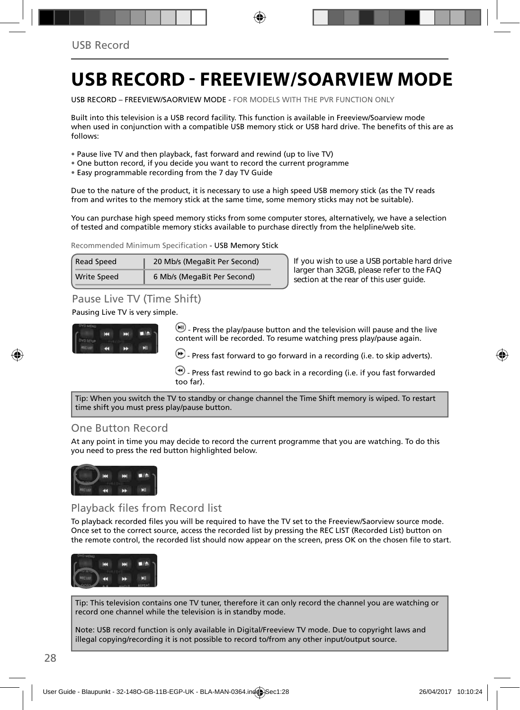### **USB RECORD - FREEVIEW/SOARVIEW MODE**

USB RECORD – FREEVIEW/SAORVIEW MODE - FOR MODELS WITH THE PVR FUNCTION ONLY

Built into this television is a USB record facility. This function is available in Freeview/Soarview mode when used in conjunction with a compatible USB memory stick or USB hard drive. The benefits of this are as follows:

- Pause live TV and then playback, fast forward and rewind (up to live TV)
- One button record, if you decide you want to record the current programme
- Easy programmable recording from the 7 day TV Guide

Due to the nature of the product, it is necessary to use a high speed USB memory stick (as the TV reads from and writes to the memory stick at the same time, some memory sticks may not be suitable).

You can purchase high speed memory sticks from some computer stores, alternatively, we have a selection of tested and compatible memory sticks available to purchase directly from the helpline/web site.

Recommended Minimum Specification - USB Memory Stick

| <b>Read Speed</b>  | 20 Mb/s (MegaBit Per Second) |
|--------------------|------------------------------|
| <b>Write Speed</b> | 6 Mb/s (MegaBit Per Second)  |

**If you wish to use a USB portable hard drive larger than 32GB, please refer to the FAQ section at the rear of this user guide.**

### Pause Live TV (Time Shift)

#### Pausing Live TV is very simple.



 $-$  Press the play/pause button and the television will pause and the live content will be recorded. To resume watching press play/pause again.

- Press fast forward to go forward in a recording (i.e. to skip adverts).

 $\bigcirc$  - Press fast rewind to go back in a recording (i.e. if you fast forwarded too far).

Tip: When you switch the TV to standby or change channel the Time Shift memory is wiped. To restart time shift you must press play/pause button.

### One Button Record

At any point in time you may decide to record the current programme that you are watching. To do this you need to press the red button highlighted below.



### Playback files from Record list

To playback recorded files you will be required to have the TV set to the Freeview/Saorview source mode. Once set to the correct source, access the recorded list by pressing the REC LIST (Recorded List) button on the remote control, the recorded list should now appear on the screen, press OK on the chosen file to start.



Tip: This television contains one TV tuner, therefore it can only record the channel you are watching or record one channel while the television is in standby mode.

Note: USB record function is only available in Digital/Freeview TV mode. Due to copyright laws and illegal copying/recording it is not possible to record to/from any other input/output source.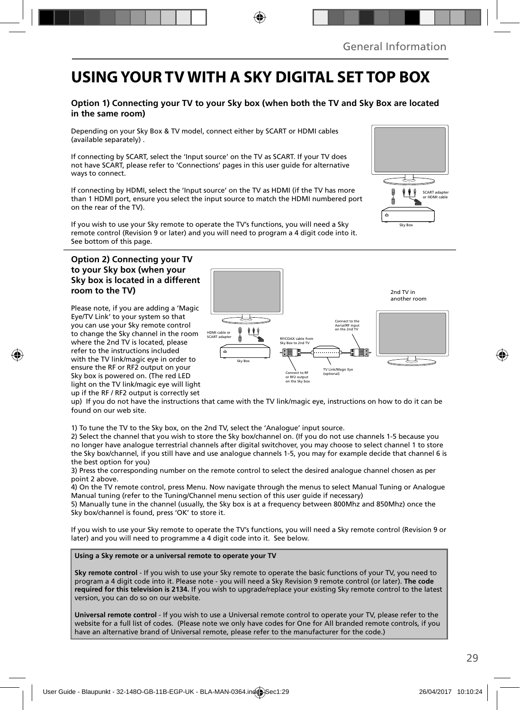### **USING YOUR TV WITH A SKY DIGITAL SET TOP BOX**

#### **Option 1) Connecting your TV to your Sky box (when both the TV and Sky Box are located in the same room)**

Depending on your Sky Box & TV model, connect either by SCART or HDMI cables (available separately) .

If connecting by SCART, select the 'Input source' on the TV as SCART. If your TV does not have SCART, please refer to 'Connections' pages in this user guide for alternative ways to connect.

If connecting by HDMI, select the 'Input source' on the TV as HDMI (if the TV has more than 1 HDMI port, ensure you select the input source to match the HDMI numbered port on the rear of the TV).

If you wish to use your Sky remote to operate the TV's functions, you will need a Sky remote control (Revision 9 or later) and you will need to program a 4 digit code into it. See bottom of this page.

#### **Option 2) Connecting your TV to your Sky box (when your Sky box is located in a different room to the TV)**

Please note, if you are adding a 'Magic Eye/TV Link' to your system so that you can use your Sky remote control to change the Sky channel in the room where the 2nd TV is located, please refer to the instructions included with the TV link/magic eye in order to ensure the RF or RF2 output on your Sky box is powered on. (The red LED light on the TV link/magic eye will light up if the RF / RF2 output is correctly set



up) If you do not have the instructions that came with the TV link/magic eye, instructions on how to do it can be found on our web site.

1) To tune the TV to the Sky box, on the 2nd TV, select the 'Analogue' input source.

2) Select the channel that you wish to store the Sky box/channel on. (If you do not use channels 1-5 because you no longer have analogue terrestrial channels after digital switchover, you may choose to select channel 1 to store the Sky box/channel, if you still have and use analogue channels 1-5, you may for example decide that channel 6 is the best option for you)

3) Press the corresponding number on the remote control to select the desired analogue channel chosen as per point 2 above.

4) On the TV remote control, press Menu. Now navigate through the menus to select Manual Tuning or Analogue Manual tuning (refer to the Tuning/Channel menu section of this user guide if necessary)

5) Manually tune in the channel (usually, the Sky box is at a frequency between 800Mhz and 850Mhz) once the Sky box/channel is found, press 'OK' to store it.

If you wish to use your Sky remote to operate the TV's functions, you will need a Sky remote control (Revision 9 or later) and you will need to programme a 4 digit code into it. See below.

**Using a Sky remote or a universal remote to operate your TV** 

**Sky remote control** - If you wish to use your Sky remote to operate the basic functions of your TV, you need to program a 4 digit code into it. Please note - you will need a Sky Revision 9 remote control (or later). **The code required for this television is 2134.** If you wish to upgrade/replace your existing Sky remote control to the latest version, you can do so on our website.

**Universal remote control** - If you wish to use a Universal remote control to operate your TV, please refer to the website for a full list of codes. (Please note we only have codes for One for All branded remote controls, if you have an alternative brand of Universal remote, please refer to the manufacturer for the code.)

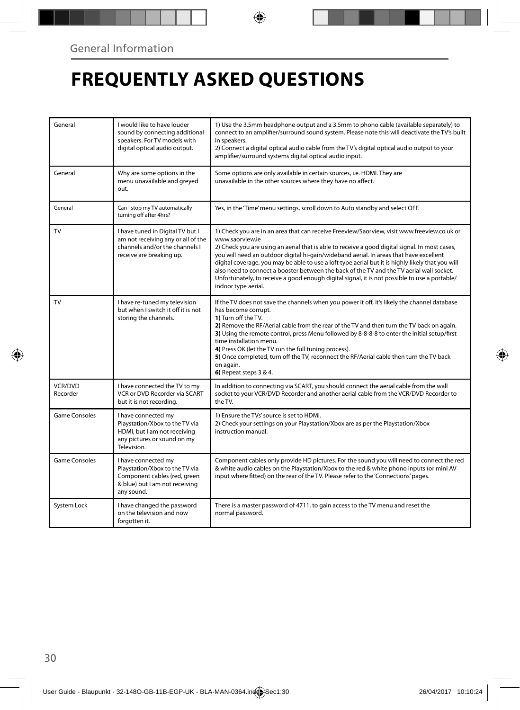# **FREQUENTLY ASKED QUESTIONS**

| General              | I would like to have louder<br>sound by connecting additional<br>speakers. For TV models with<br>digital optical audio output.        | 1) Use the 3.5mm headphone output and a 3.5mm to phono cable (available separately) to<br>connect to an amplifier/surround sound system. Please note this will deactivate the TV's built<br>in speakers.<br>2) Connect a digital optical audio cable from the TV's digital optical audio output to your<br>amplifier/surround systems digital optical audio input.                                                                                                                                                                                                                                                                  |
|----------------------|---------------------------------------------------------------------------------------------------------------------------------------|-------------------------------------------------------------------------------------------------------------------------------------------------------------------------------------------------------------------------------------------------------------------------------------------------------------------------------------------------------------------------------------------------------------------------------------------------------------------------------------------------------------------------------------------------------------------------------------------------------------------------------------|
| General              | Why are some options in the<br>menu unavailable and greyed<br>out.                                                                    | Some options are only available in certain sources, i.e. HDMI. They are<br>unavailable in the other sources where they have no affect.                                                                                                                                                                                                                                                                                                                                                                                                                                                                                              |
| General              | Can I stop my TV automatically<br>turning off after 4hrs?                                                                             | Yes, in the 'Time' menu settings, scroll down to Auto standby and select OFF.                                                                                                                                                                                                                                                                                                                                                                                                                                                                                                                                                       |
| TV                   | I have tuned in Digital TV but I<br>am not receiving any or all of the<br>channels and/or the channels I<br>receive are breaking up.  | 1) Check you are in an area that can receive Freeview/Saorview, visit www.freeview.co.uk or<br>www.saorview.ie<br>2) Check you are using an aerial that is able to receive a good digital signal. In most cases,<br>you will need an outdoor digital hi-gain/wideband aerial. In areas that have excellent<br>digital coverage, you may be able to use a loft type aerial but it is highly likely that you will<br>also need to connect a booster between the back of the TV and the TV aerial wall socket.<br>Unfortunately, to receive a good enough digital signal, it is not possible to use a portable/<br>indoor type aerial. |
| TV                   | I have re-tuned my television<br>but when I switch it off it is not<br>storing the channels.                                          | If the TV does not save the channels when you power it off, it's likely the channel database<br>has become corrupt.<br>1) Turn off the TV.<br>2) Remove the RF/Aerial cable from the rear of the TV and then turn the TV back on again.<br>3) Using the remote control, press Menu followed by 8-8-8-8 to enter the initial setup/first<br>time installation menu.<br>4) Press OK (let the TV run the full tuning process).<br>5) Once completed, turn off the TV, reconnect the RF/Aerial cable then turn the TV back<br>on again.<br>6) Repeat steps 3 & 4.                                                                       |
| VCR/DVD<br>Recorder  | I have connected the TV to my<br>VCR or DVD Recorder via SCART<br>but it is not recordina.                                            | In addition to connecting via SCART, you should connect the aerial cable from the wall<br>socket to your VCR/DVD Recorder and another aerial cable from the VCR/DVD Recorder to<br>the TV.                                                                                                                                                                                                                                                                                                                                                                                                                                          |
| Game Consoles        | I have connected my<br>Playstation/Xbox to the TV via<br>HDMI, but I am not receiving<br>any pictures or sound on my<br>Television.   | 1) Ensure the TVs' source is set to HDMI.<br>2) Check your settings on your Playstation/Xbox are as per the Playstation/Xbox<br>instruction manual.                                                                                                                                                                                                                                                                                                                                                                                                                                                                                 |
| <b>Game Consoles</b> | I have connected my<br>Playstation/Xbox to the TV via<br>Component cables (red, green<br>& blue) but I am not receiving<br>any sound. | Component cables only provide HD pictures. For the sound you will need to connect the red<br>& white audio cables on the Playstation/Xbox to the red & white phono inputs (or mini AV<br>input where fitted) on the rear of the TV. Please refer to the 'Connections' pages.                                                                                                                                                                                                                                                                                                                                                        |
| System Lock          | I have changed the password<br>on the television and now<br>forgotten it.                                                             | There is a master password of 4711, to gain access to the TV menu and reset the<br>normal password.                                                                                                                                                                                                                                                                                                                                                                                                                                                                                                                                 |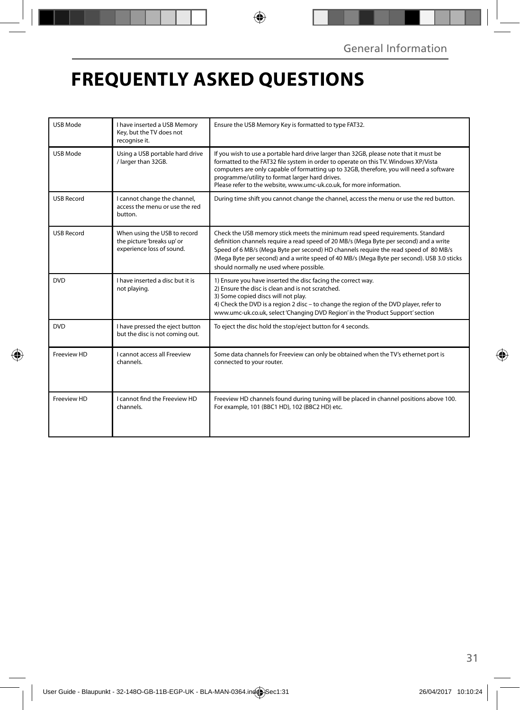# **FREQUENTLY ASKED QUESTIONS**

| <b>USB Mode</b>   | I have inserted a USB Memory<br>Key, but the TV does not<br>recognise it.               | Ensure the USB Memory Key is formatted to type FAT32.                                                                                                                                                                                                                                                                                                                                                     |
|-------------------|-----------------------------------------------------------------------------------------|-----------------------------------------------------------------------------------------------------------------------------------------------------------------------------------------------------------------------------------------------------------------------------------------------------------------------------------------------------------------------------------------------------------|
| <b>USB Mode</b>   | Using a USB portable hard drive<br>/ larger than 32GB.                                  | If you wish to use a portable hard drive larger than 32GB, please note that it must be<br>formatted to the FAT32 file system in order to operate on this TV. Windows XP/Vista<br>computers are only capable of formatting up to 32GB, therefore, you will need a software<br>programme/utility to format larger hard drives.<br>Please refer to the website, www.umc-uk.co.uk, for more information.      |
| <b>USB Record</b> | I cannot change the channel,<br>access the menu or use the red<br>button.               | During time shift you cannot change the channel, access the menu or use the red button.                                                                                                                                                                                                                                                                                                                   |
| <b>USB Record</b> | When using the USB to record<br>the picture 'breaks up' or<br>experience loss of sound. | Check the USB memory stick meets the minimum read speed requirements. Standard<br>definition channels require a read speed of 20 MB/s (Mega Byte per second) and a write<br>Speed of 6 MB/s (Mega Byte per second) HD channels require the read speed of 80 MB/s<br>(Mega Byte per second) and a write speed of 40 MB/s (Mega Byte per second). USB 3.0 sticks<br>should normally ne used where possible. |
| <b>DVD</b>        | I have inserted a disc but it is<br>not playing.                                        | 1) Ensure you have inserted the disc facing the correct way.<br>2) Ensure the disc is clean and is not scratched.<br>3) Some copied discs will not play.<br>4) Check the DVD is a region 2 disc - to change the region of the DVD player, refer to<br>www.umc-uk.co.uk, select 'Changing DVD Region' in the 'Product Support' section                                                                     |
| <b>DVD</b>        | I have pressed the eject button<br>but the disc is not coming out.                      | To eject the disc hold the stop/eject button for 4 seconds.                                                                                                                                                                                                                                                                                                                                               |
| Freeview HD       | <b>Lcannot access all Freeview</b><br>channels.                                         | Some data channels for Freeview can only be obtained when the TV's ethernet port is<br>connected to your router.                                                                                                                                                                                                                                                                                          |
| Freeview HD       | I cannot find the Freeview HD<br>channels.                                              | Freeview HD channels found during tuning will be placed in channel positions above 100.<br>For example, 101 (BBC1 HD), 102 (BBC2 HD) etc.                                                                                                                                                                                                                                                                 |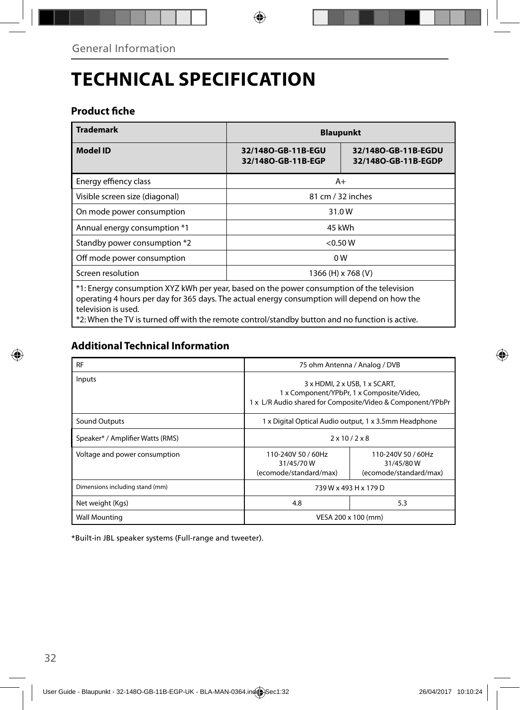# **TECHNICAL SPECIFICATION**

### **Product fiche**

| <b>Trademark</b>                                                                                                                                                                          | <b>Blaupunkt</b>                                                                       |  |  |  |
|-------------------------------------------------------------------------------------------------------------------------------------------------------------------------------------------|----------------------------------------------------------------------------------------|--|--|--|
| <b>Model ID</b>                                                                                                                                                                           | 32/1480-GB-11B-EGU<br>32/1480-GB-11B-EGDU<br>32/1480-GB-11B-EGP<br>32/1480-GB-11B-EGDP |  |  |  |
| Energy effiency class                                                                                                                                                                     | $A+$                                                                                   |  |  |  |
| Visible screen size (diagonal)                                                                                                                                                            | 81 cm / 32 inches                                                                      |  |  |  |
| On mode power consumption                                                                                                                                                                 | 31.0W                                                                                  |  |  |  |
| Annual energy consumption *1                                                                                                                                                              | 45 kWh                                                                                 |  |  |  |
| Standby power consumption *2                                                                                                                                                              | $<$ 0.50 W                                                                             |  |  |  |
| Off mode power consumption                                                                                                                                                                | 0W                                                                                     |  |  |  |
| Screen resolution                                                                                                                                                                         | 1366 (H) x 768 (V)                                                                     |  |  |  |
| *1: Energy consumption XYZ kWh per year, based on the power consumption of the television<br>operating 1 hours per day for 265 days. The astual epergy consumption will depend on how the |                                                                                        |  |  |  |

operating 4 hours per day for 365 days. The actual energy consumption will depend on how the television is used.

\*2: When the TV is turned off with the remote control/standby button and no function is active.

### **Additional Technical Information**

| <b>RF</b>                        | 75 ohm Antenna / Analog / DVB                                                                                                            |     |  |
|----------------------------------|------------------------------------------------------------------------------------------------------------------------------------------|-----|--|
| Inputs                           | 3 x HDMI, 2 x USB, 1 x SCART,<br>1 x Component/YPbPr, 1 x Composite/Video,<br>1 x L/R Audio shared for Composite/Video & Component/YPbPr |     |  |
| Sound Outputs                    | 1 x Digital Optical Audio output, 1 x 3.5mm Headphone                                                                                    |     |  |
| Speaker* / Amplifier Watts (RMS) | $2 \times 10 / 2 \times 8$                                                                                                               |     |  |
| Voltage and power consumption    | 110-240V 50 / 60Hz<br>110-240V 50 / 60Hz<br>31/45/70W<br>31/45/80W<br>(ecomode/standard/max)<br>(ecomode/standard/max)                   |     |  |
| Dimensions including stand (mm)  | 739 W x 493 H x 179 D                                                                                                                    |     |  |
| Net weight (Kgs)                 | 4.8                                                                                                                                      | 5.3 |  |
| <b>Wall Mounting</b>             | VESA 200 x 100 (mm)                                                                                                                      |     |  |

\*Built-in JBL speaker systems (Full-range and tweeter).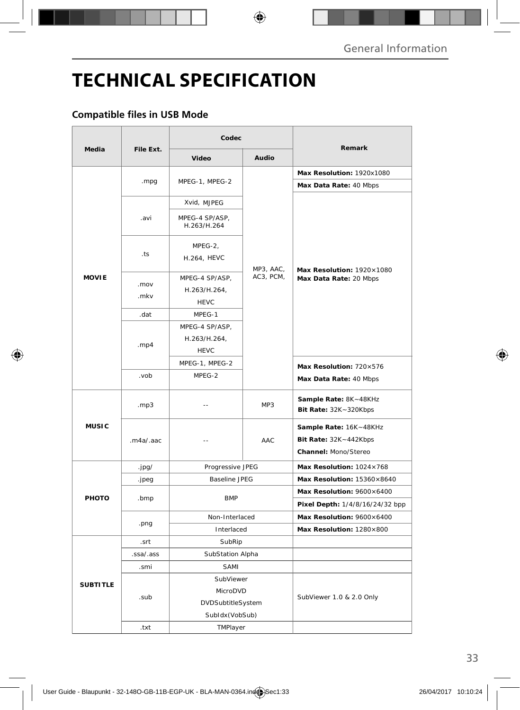# **TECHNICAL SPECIFICATION**

#### **Compatible files in USB Mode**

|                 | File Ext.         | Codec                                         |           |                                                                         |  |
|-----------------|-------------------|-----------------------------------------------|-----------|-------------------------------------------------------------------------|--|
| <b>Media</b>    |                   | Video                                         | Audio     | Remark                                                                  |  |
|                 |                   |                                               |           | Max Resolution: 1920x1080                                               |  |
|                 | .mpg              | MPEG-1, MPEG-2                                |           | Max Data Rate: 40 Mbps                                                  |  |
|                 |                   | Xvid, MJPEG                                   |           |                                                                         |  |
|                 | .avi              | MPEG-4 SP/ASP,<br>H.263/H.264                 |           |                                                                         |  |
|                 | .ts               | MPEG-2,<br>H.264, HEVC                        | MP3, AAC, | Max Resolution: 1920×1080                                               |  |
| <b>MOVIE</b>    | .mov              | MPEG-4 SP/ASP,<br>H.263/H.264,                | AC3, PCM, | Max Data Rate: 20 Mbps                                                  |  |
|                 | .mkv              | <b>HEVC</b>                                   |           |                                                                         |  |
|                 | .dat              | MPEG-1                                        |           |                                                                         |  |
|                 | .mp4              | MPEG-4 SP/ASP,<br>H.263/H.264,<br><b>HEVC</b> |           |                                                                         |  |
|                 |                   | MPEG-1, MPEG-2                                |           | Max Resolution: 720×576                                                 |  |
|                 | .vob              | MPEG-2                                        |           | Max Data Rate: 40 Mbps                                                  |  |
|                 | .mp3              | $\overline{a}$                                | MP3       | Sample Rate: 8K~48KHz<br>Bit Rate: 32K~320Kbps                          |  |
| <b>MUSIC</b>    | .m4a/.aac         | $\overline{a}$                                | AAC       | Sample Rate: 16K~48KHz<br>Bit Rate: 32K~442Kbps<br>Channel: Mono/Stereo |  |
|                 | .jpg/             | Progressive JPEG                              |           | Max Resolution: 1024×768                                                |  |
|                 | .jpeg             | <b>Baseline JPEG</b>                          |           | Max Resolution: 15360×8640                                              |  |
| PHOTO           | .bmp              | <b>BMP</b>                                    |           | Max Resolution: 9600×6400                                               |  |
|                 |                   |                                               |           | Pixel Depth: 1/4/8/16/24/32 bpp                                         |  |
|                 | .png              | Non-Interlaced                                |           | Max Resolution: 9600×6400                                               |  |
|                 |                   | Interlaced                                    |           | Max Resolution: 1280×800                                                |  |
|                 | .srt              | SubRip                                        |           |                                                                         |  |
|                 | .ssa/.ass<br>.smi | SubStation Alpha<br>SAMI                      |           |                                                                         |  |
|                 |                   | SubViewer                                     |           |                                                                         |  |
| <b>SUBTITLE</b> |                   | MicroDVD                                      |           |                                                                         |  |
|                 | .sub              | DVDSubtitleSystem                             |           | SubViewer 1.0 & 2.0 Only                                                |  |
|                 |                   | SubIdx (VobSub)                               |           |                                                                         |  |
|                 | .txt              | TMPlayer                                      |           |                                                                         |  |